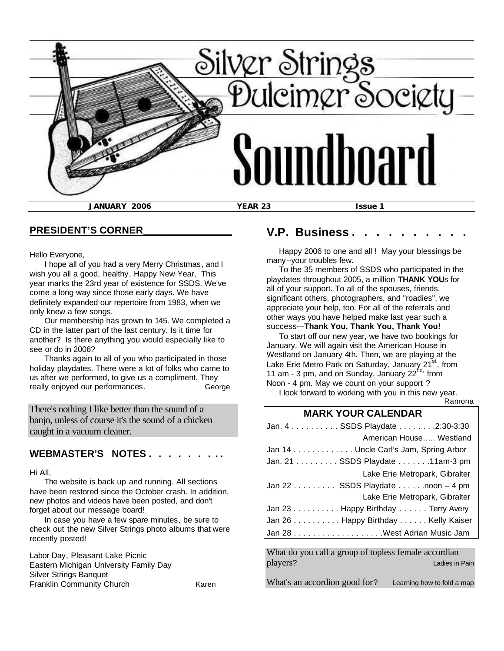

#### **PRESIDENT'S CORNER\_\_\_\_\_\_\_\_\_\_\_\_\_\_\_\_**

Hello Everyone,

 I hope all of you had a very Merry Christmas, and I wish you all a good, healthy, Happy New Year, This year marks the 23rd year of existence for SSDS. We've come a long way since those early days. We have definitely expanded our repertoire from 1983, when we only knew a few songs.

 Our membership has grown to 145. We completed a CD in the latter part of the last century. Is it time for another? Is there anything you would especially like to see or do in 2006?

 Thanks again to all of you who participated in those holiday playdates. There were a lot of folks who came to us after we performed, to give us a compliment. They really enjoyed our performances. George

There's nothing I like better than the sound of a banjo, unless of course it's the sound of a chicken caught in a vacuum cleaner.

#### WEBMASTER'S NOTES . .

Hi All,

 The website is back up and running. All sections have been restored since the October crash. In addition, new photos and videos have been posted, and don't forget about our message board!

 In case you have a few spare minutes, be sure to check out the new Silver Strings photo albums that were recently posted!

Labor Day, Pleasant Lake Picnic Eastern Michigan University Family Day Silver Strings Banquet Franklin Community Church Karen

## **V.P. Business.**

 Happy 2006 to one and all ! May your blessings be many--your troubles few.

 To the 35 members of SSDS who participated in the playdates throughout 2005, a million **THANK YOU**s for all of your support. To all of the spouses, friends, significant others, photographers, and "roadies", we appreciate your help, too. For all of the referrals and other ways you have helped make last year such a success---**Thank You, Thank You, Thank You!**

 To start off our new year, we have two bookings for January. We will again visit the American House in Westland on January 4th. Then, we are playing at the Lake Erie Metro Park on Saturday, January 21<sup>st</sup>, from 11 am - 3 pm, and on Sunday, January 22<sup>nd,</sup> from Noon - 4 pm. May we count on your support ?

 I look forward to working with you in this new year. Ramona

## **MARK YOUR CALENDAR**

| Jan. 4 SSDS Playdate 2:30-3:30                      |  |
|-----------------------------------------------------|--|
| American House Westland                             |  |
| Jan 14 Uncle Carl's Jam, Spring Arbor               |  |
| Jan. 21 SSDS Playdate 11am-3 pm                     |  |
| Lake Erie Metropark, Gibralter                      |  |
| $\lambda$ Jan 22 SSDS Playdate noon $-4 \text{ pm}$ |  |
| Lake Erie Metropark, Gibralter                      |  |
| Jan 23 Happy Birthday Terry Avery                   |  |
| Jan 26 Happy Birthday Kelly Kaiser                  |  |
|                                                     |  |

What do you call a group of topless female accordian players? Ladies in Pain

What's an accordion good for? Learning how to fold a map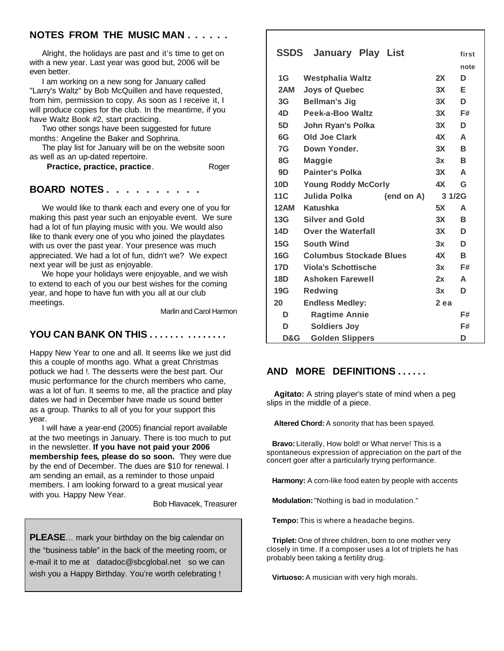## **NOTES FROM THE MUSIC MAN . . . . . .**

 Alright, the holidays are past and it's time to get on with a new year. Last year was good but, 2006 will be even better.

 I am working on a new song for January called "Larry's Waltz" by Bob McQuillen and have requested, from him, permission to copy. As soon as I receive it, I will produce copies for the club. In the meantime, if you have Waltz Book #2, start practicing.

 Two other songs have been suggested for future months: Angeline the Baker and Sophrina.

 The play list for January will be on the website soon as well as an up-dated repertoire.

**Practice, practice, practice.** Roger

#### **BOARD NOTES . . . . . . . . . .**

 We would like to thank each and every one of you for making this past year such an enjoyable event. We sure had a lot of fun playing music with you. We would also like to thank every one of you who joined the playdates with us over the past year. Your presence was much appreciated. We had a lot of fun, didn't we? We expect next year will be just as enjoyable.

 We hope your holidays were enjoyable, and we wish to extend to each of you our best wishes for the coming year, and hope to have fun with you all at our club meetings.

Marlin and Carol Harmon

## **YOU CAN BANK ON THIS . . . . . . . . . . . . . . .**

Happy New Year to one and all. It seems like we just did this a couple of months ago. What a great Christmas potluck we had !. The desserts were the best part. Our music performance for the church members who came, was a lot of fun. It seems to me, all the practice and play dates we had in December have made us sound better as a group. Thanks to all of you for your support this year.

 I will have a year-end (2005) financial report available at the two meetings in January. There is too much to put in the newsletter. **If you have not paid your 2006 membership fees, please do so soon.** They were due by the end of December. The dues are \$10 for renewal. I am sending an email, as a reminder to those unpaid members. I am looking forward to a great musical year with you. Happy New Year.

Bob Hlavacek, Treasurer

**PLEASE**… mark your birthday on the big calendar on the "business table" in the back of the meeting room, or e-mail it to me at datadoc@sbcglobal.net so we can wish you a Happy Birthday. You're worth celebrating !

# **SSDS January Play List first**

|             |                                |            |                 | note |
|-------------|--------------------------------|------------|-----------------|------|
| 1G          | <b>Westphalia Waltz</b>        |            | 2X              | D    |
| 2AM         | <b>Joys of Quebec</b>          |            | 3X              | Е    |
| 3G          | <b>Bellman's Jig</b>           |            | 3X              | D    |
| 4D.         | Peek-a-Boo Waltz               |            | 3X              | F#   |
| 5D          | John Ryan's Polka              |            | 3X              | D    |
| 6G          | Old Joe Clark                  |            | 4X              | A    |
| 7G          | Down Yonder.                   |            | 3X              | В    |
| 8G          | <b>Maggie</b>                  |            | 3x              | в    |
| 9D -        | <b>Painter's Polka</b>         |            | 3X              | A    |
| 10D         | <b>Young Roddy McCorly</b>     |            | 4X              | G    |
| 11C         | Julida Polka                   | (end on A) | 3 1/2G          |      |
| <b>12AM</b> | Katushka                       |            | 5X              | A    |
| 13G         | <b>Silver and Gold</b>         |            | 3X              | B    |
| 14D         | <b>Over the Waterfall</b>      |            | 3X              | D    |
| 15G         | <b>South Wind</b>              |            | 3x              | D    |
| 16G         | <b>Columbus Stockade Blues</b> |            | 4X —            | В    |
| 17D —       | <b>Viola's Schottische</b>     |            | 3x              | F#   |
| 18D         | <b>Ashoken Farewell</b>        |            | 2x              | A    |
| 19G         | <b>Redwing</b>                 |            | 3x              | D    |
| 20          | <b>Endless Medley:</b>         |            | 2 <sub>ea</sub> |      |
| D           | <b>Ragtime Annie</b>           |            |                 | F#   |
| D           | <b>Soldiers Joy</b>            |            |                 | F#   |
| D&G         | <b>Golden Slippers</b>         |            |                 | D    |

## **AND MORE DEFINITIONS . . . . . .**

 **Agitato:** A string player's state of mind when a peg slips in the middle of a piece.

**Altered Chord:** A sonority that has been spayed.

 **Bravo:** Literally, How bold! or What nerve! This is a spontaneous expression of appreciation on the part of the concert goer after a particularly trying performance.

 **Harmony:** A corn-like food eaten by people with accents

**Modulation:** "Nothing is bad in modulation."

 **Tempo:** This is where a headache begins.

 **Triplet:** One of three children, born to one mother very closely in time. If a composer uses a lot of triplets he has probably been taking a fertility drug.

 **Virtuoso:** A musician with very high morals.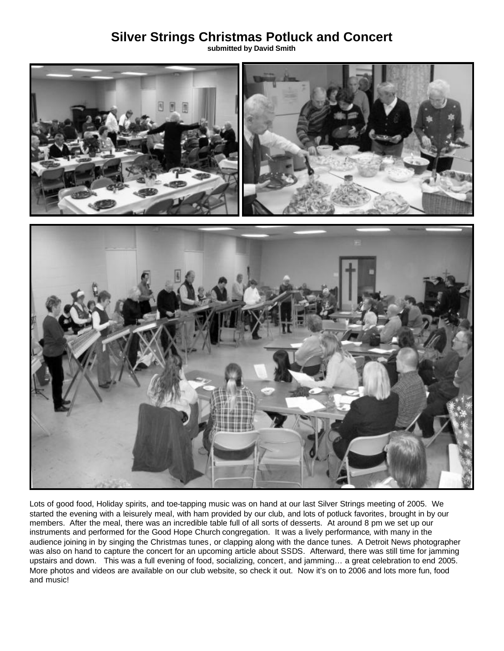# **Silver Strings Christmas Potluck and Concert**

**submitted by David Smith**



Lots of good food, Holiday spirits, and toe-tapping music was on hand at our last Silver Strings meeting of 2005. We started the evening with a leisurely meal, with ham provided by our club, and lots of potluck favorites, brought in by our members. After the meal, there was an incredible table full of all sorts of desserts. At around 8 pm we set up our instruments and performed for the Good Hope Church congregation. It was a lively performance, with many in the audience joining in by singing the Christmas tunes, or clapping along with the dance tunes. A Detroit News photographer was also on hand to capture the concert for an upcoming article about SSDS. Afterward, there was still time for jamming upstairs and down. This was a full evening of food, socializing, concert, and jamming… a great celebration to end 2005. More photos and videos are available on our club website, so check it out. Now it's on to 2006 and lots more fun, food and music!